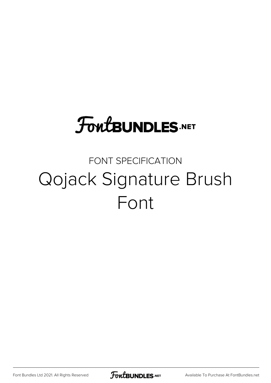# **FoutBUNDLES.NET**

## FONT SPECIFICATION Qojack Signature Brush Font

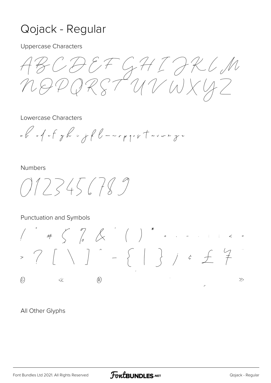### Qojack - Regular

**Uppercase Characters** 

ABCDEFGHIJKLM NOPQRST UVWXYZ

Lowercase Characters

«b «f»f yk « yf l mnr p pret numn y »

**Numbers** 

 $0123456189$ 

#### Punctuation and Symbols

 $(\mathbb{Q})$  $\mathcal{O}$  $\ll$  $\gg$ 

All Other Glyphs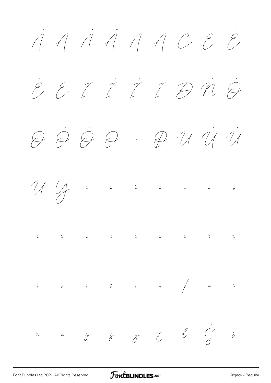$\dot{A} \dot{A} \dot{A} \dot{A} \dot{A} \dot{C} \dot{C}$  $\hat{\epsilon}$   $\hat{\epsilon}$   $\hat{I}$   $\hat{I}$   $\hat{P}$   $\hat{n}$   $\hat{\varphi}$  $\begin{picture}(120,140) \put(0,0){\vector(1,0){15}} \put(15,0){\vector(1,0){15}} \put(15,0){\vector(1,0){15}} \put(15,0){\vector(1,0){15}} \put(15,0){\vector(1,0){15}} \put(15,0){\vector(1,0){15}} \put(15,0){\vector(1,0){15}} \put(15,0){\vector(1,0){15}} \put(15,0){\vector(1,0){15}} \put(15,0){\vector(1,0){15}} \put(15,0){\vector(1,0){15}} \put(15,0){\vector$  $\ddot{\mathbf{v}}$  $\begin{array}{ccccccccccc} \hat{\sigma} & & & \hat{\sigma} & & & \hat{\sigma} & & & \hat{\sigma} & & & \hat{\sigma} & & & \hat{\sigma} & & & \hat{\sigma} & & & \hat{\sigma} & & & \hat{\sigma} & & & \hat{\sigma} & & & \hat{\sigma} & & & \hat{\sigma} & & & \hat{\sigma} & & & \hat{\sigma} & & & \hat{\sigma} & & & \hat{\sigma} & & & & \hat{\sigma} & & & & \hat{\sigma} & & & & \hat{\sigma} & & & & \hat{\sigma} & & & & \hat{\sigma} & & & & \hat{\sigma} & & & & \hat{\sigma} & & & & \hat{\sigma} & & & & \hat{\sigma} & & & & \$  $\frac{1}{\sigma}$  $\ddot{x}$   $\dot{y}$   $\ddot{y}$   $\ddot{t}$   $\ddot{t}$   $\ddot{\textbf{x}}$  $\check{\acute{\mathsf{r}}}$  $\hat{L}$